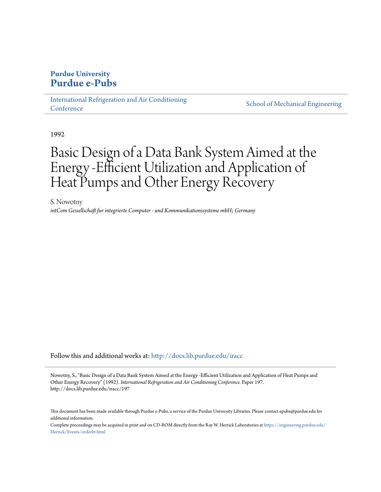# **Purdue University [Purdue e-Pubs](http://docs.lib.purdue.edu?utm_source=docs.lib.purdue.edu%2Firacc%2F197&utm_medium=PDF&utm_campaign=PDFCoverPages)**

[International Refrigeration and Air Conditioning](http://docs.lib.purdue.edu/iracc?utm_source=docs.lib.purdue.edu%2Firacc%2F197&utm_medium=PDF&utm_campaign=PDFCoverPages) **[Conference](http://docs.lib.purdue.edu/iracc?utm_source=docs.lib.purdue.edu%2Firacc%2F197&utm_medium=PDF&utm_campaign=PDFCoverPages)** 

[School of Mechanical Engineering](http://docs.lib.purdue.edu/me?utm_source=docs.lib.purdue.edu%2Firacc%2F197&utm_medium=PDF&utm_campaign=PDFCoverPages)

1992

# Basic Design of a Data Bank System Aimed at the Energy -Efficient Utilization and Application of Heat Pumps and Other Energy Recovery

S. Nowotny *intCom Gessellschaft fur integrierte Computer - und Kommunikationssysteme mbH; Germany*

Follow this and additional works at: [http://docs.lib.purdue.edu/iracc](http://docs.lib.purdue.edu/iracc?utm_source=docs.lib.purdue.edu%2Firacc%2F197&utm_medium=PDF&utm_campaign=PDFCoverPages)

Nowotny, S., "Basic Design of a Data Bank System Aimed at the Energy -Efficient Utilization and Application of Heat Pumps and Other Energy Recovery" (1992). *International Refrigeration and Air Conditioning Conference.* Paper 197. http://docs.lib.purdue.edu/iracc/197

This document has been made available through Purdue e-Pubs, a service of the Purdue University Libraries. Please contact epubs@purdue.edu for additional information.

Complete proceedings may be acquired in print and on CD-ROM directly from the Ray W. Herrick Laboratories at [https://engineering.purdue.edu/](https://engineering.purdue.edu/Herrick/Events/orderlit.html) [Herrick/Events/orderlit.html](https://engineering.purdue.edu/Herrick/Events/orderlit.html)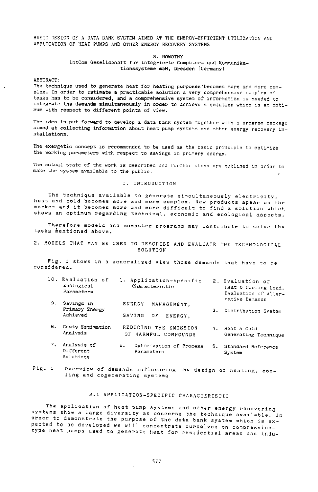BASIC DESIGN Of A DATA BANK SYSTEM AIMED AT THE ENERGY~EFFICIENT UTILIZATION AND APPLICATION OF HEAT PUMPS AND OTHER ENERGY RECOVERY SYSTEMS

#### S. NOWOTNY

#### intCom Gesellschaft fur integrierte Computer- und Kommunikationssysteme mbH, Dresden (Germany)

#### ABSTRACT:

The technique used to generate heat for heating purposes''becomes more and more complex. In order to estimate a practicable solution a very comprehensive complex of tasks has to be considered, and a comprehensive system of information is needed to integrate the demands simultaneously in order to achieve a solution which is an optimum with respect to different points of view.

The idea is put forward to develop a data bank system together with a program package a1med at collecting information about heat pump systems and other energy recovery installations.

The exergetic concept is recommended to be used as the basic principle to optimize the working parameters with respect to savings in primery energy.

The actual state of the work is described and further steps are outlined in order to make the system ava1lable to the public.

#### 1. INTRODUCTION

The technique available to generate simoultaneously electricity, heat and cold becomes more and more complex. New products apear on the market and it becomes more and more difficult to find a solution which shows an optimum regarding technical, economic and ecological aspects.

Therefore models and computer programs may contribute to solve the tasks mentioned above.

2. MODEcS THAT MAY BE USED TO DESCRIBE AND EVALUATE THE TECHNOLOGICAL SOLUTION

Fig. l shows in a generalized view those demands that have to be considered.

| 10. Evaluation of<br>Ecological<br>Parameters | 1. Application-specific<br>Characteristic |             | 2. Evaluation of<br>Heat & Cooling Load.<br>Evaluation of Alter- |  |
|-----------------------------------------------|-------------------------------------------|-------------|------------------------------------------------------------------|--|
| 9. Savings in                                 | ENERGY                                    | MANAGEMENT. | native Demands                                                   |  |

Primary Energy 3. Distribution System Achieved SAVING OF ENERGY,

- 8. Costs Estimation REDUCING THE EMISSION 4. Heat & Cold<br>Analysis or HARMELL COMPOUNDS Congrating OF HARMFUL COMPOUNDS Generating Technique
- 7. Analysis of 5. Optimization of Process 5. Standard Reference<br>Different Parameters Runter Sunter Parameters System Solutions
- Fig. l Overview of demands 1nfluenclng the design of heating, cooling *and* cogenarating systems

# 2.1 APPLICATION-SPECifiC CHARACTERISTIC

The application of heat pump systems and other energy recovering systems show a large diversity as concerns the technique available. In order to demonstrate the purpose of the data bank system which is expected to be developed *we* will concentrate ourselves on compressiontype heat pumps used to generate heat for residential areas and indu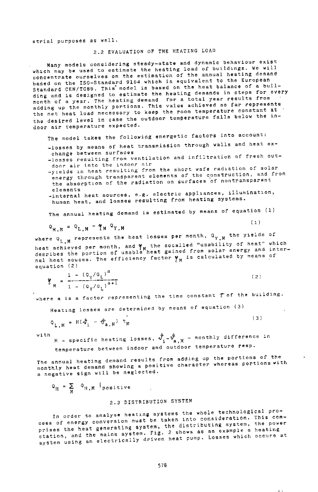strial purposes as well.

### 2.2 EVALUATION OF THE HEATING LOAD

Many models considering steady-state and dynamic behaviour exist which may be used to estimate the heating load of buildings. We will concentrate ourselves on the estimation of the annual heating demand based on the ISO-Standard 9164 which is equivalent to the European Standard CEN/TC89. This model is based on the heat balance of a building and is designed to estimate the heating demands in steps for every month of a year. The heating demand for a total year results from adding up the monthly portions. This value achieved so far represents the net heat load necessary to keep the room temperature constant at the desired level in case the outdoor temperature falls below the indoor air temperature expected.

The model takes the following energetic factors into account:

-losses by means of heat transmission through walls and heat ex-<br>change between surfaces

change between surfaces -losses resulting from ventilation and infiltration of fresh outdoor air into the indoor air

-yields in heat resulting from the short wafe radiation of solar energy through transparent elements of the construction, and from the absorption of the radiation on surfaces of nontransparent

elements<br>-internal heat sources, e.g. electric appliances, illumination, human heat, and losses resulting from heating systems.

The annual heating demand is estimated by means of equation (1)

 $(1)$ 

( 3)

 $Q_{H,M} = Q_{L,M} - \gamma_M Q_{Y,M}$ 

where  $Q_{L,M}$  represents the heat losses per month,  $Q_{Y,M}$  the yields of neat achieved per month, and  $\gamma_{_M}$  the socalled "usability of heat" which<br>desribes the portion of usable heat gained from solar energy and internal heat souces. The efficiency factor  $\gamma_M$  is calculated by means of equation (2)

 $\frac{1 - (\alpha \sqrt{\alpha_L})}{1 - (\alpha \sqrt{\alpha_L})^{2} + 1}$  (2)

where a is a factor representing the time constant  $\tau$  of the building.

Heating losses are determined by means of equation (3)

$$
\varphi_{L,M} = H(\varphi_i - \varphi_{a,M}) t_M
$$

with

H - specific heating losses,  $\hat{v}_{i}^{*}-\hat{v}_{a,M}^{0}$  - monthly difference in temperature between indoor and outdoor temperature resp.

The annual heating demand results from adding up the portions of the monthly heat demand showing a positive character whereas portions with <sup>a</sup>negative sign will be neglected.

$$
\mathsf{Q}_{\mathrm{H}} = \sum_{\mathrm{M}} \mathsf{Q}_{\mathrm{H},\mathrm{M}} \mathsf{I}_{\text{positive}}
$$

# 2.3 DISTRIBUTION SYSTEM

In order to analyse heating systems the whole technological process of energy conversion must be taken into consideret1on. This comprises the heat generating system, the distributing system, the power station, and the mains system. Fig. 2 shows as an example a heating system using an electrically driven heat pump. Losses which occure at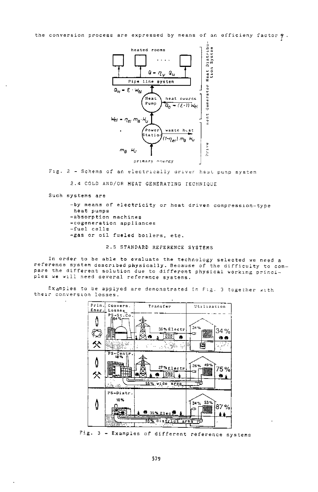the conversion process are expressed by means of an efficieny factor  $\gamma$ .



Fig. 2 - Schema of an electrically driver heat pump system

2.4 COLD AND/OR HEAT GENERATING TECHNIQUE

Such systems are

-by means of electricity or heat driven compression-type heat pumps -absorption machines -cogeneration appliances -fuel cells -gas or oil fueled boilers, etc.

2.5 STANDARD REFERENCE SYSTEMS

In order to be able to evaluate the technology selected we need a reference system described physically. Because of the difficulty to compare the different solution due to different physical working principles we will need several reference systems.

Examples to be applyed are demonstrated in Fig. 3 together with their conversion losses.



Fig. 3 - Examples of different reference systems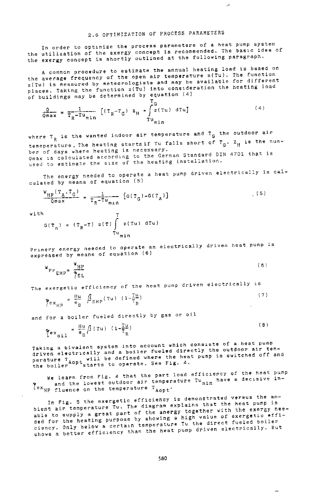$\mathcal{A}$ 

**In order to opt1mize the process parameters of a heat pump system the utilization of the exergy concept is recommended. The bas1c idea of**  the exergy concept is shortly outlined at the following paragraph.

A common procedure to estimate the annual heating load is based on the average frequency of the open air temperature z(Tu). The function **z(Tu) is measured by** meteo~ologists **and may be available for different**  places. Taking the function z(Tu) into consideration the heating load of buildings may be determined by equation (4)

$$
\frac{Q}{\alpha_{max}} = \frac{1}{T_R - Tu_{min}} \left[ (T_R - T_G) z_H + \int_{Tu_{min}}^{T_G} (ru) \, du \right] \tag{4}
$$

**where TR is the wanted indoor air temperature and TG the outdoor air**  temeperature. The heating starts if Tu falls short of  $T_{\alpha}$ . Z<sub>H</sub> is the numb~r **of days where heating is necessary.**  Qmax is calculated according to the German Standard DIN 4701 that is **uoed to** ~stimate **the sl?re of the heating installation4** 

The energy needed to operate a heat pump driven electrically is calculated by means of equation (5)

$$
\frac{w_{\text{HP}}(\tau_A, \tau_G)}{\sigma_{\text{max}} - \frac{1}{2}} = \frac{1}{T_R - \tau_{u_{\text{min}}}} \left[ G(\tau_G) - G(\tau_A) \right]
$$
 (5)

With

$$
G(T_n) = (T_R - T) z(T) \int_{T_u \text{min}}^{T} z(Tu) dTu
$$

Pr1me~y **energy needed to** ~perate **an electrically driven heat pump is**  expressed by means of equation (6)

$$
\Psi_{\rm PT} = \frac{\Psi_{\rm HP}}{\gamma_{\rm EL}} \tag{6}
$$

**The** exerg~tic ~fftciency **of the heat pump driven electrically <sup>15</sup>**

$$
\gamma_{\text{exp}} = \frac{\mu \mu}{e_B} \beta_{\text{RHP}}(\tau u) \left(1 - \frac{T^{\mu}}{T_R}\right) \tag{7}
$$

and for a boiler fueled directly by gas or oil

$$
\gamma_{\text{ex}} = \frac{\text{Hu}}{\text{e}} \frac{\beta \left( \text{Tu} \right) \left( 1 - \frac{\text{Tu}}{\text{TR}} \right)}{n}
$$
 (8)

**Taking a bivalent system into account which** cons~sts **of a heat pump**  paking a bivalent system and a boiler fueled directly the outdoor air tem-<br>gerature electrically and a boiler fueled directly the outdoor air tem-<br>perature T<sub>AOP</sub>t will be defined where the heat pump is switched off and<br>th

We learn from Fig. 4 that the part load efficiency of the heat pump **r and** the lowest outdoor air temperature  $Tumin have a decisive in-$ Yex<sub>HP</sub> fluence on the temperature T<sub>AOPt</sub>.

**In Fig. 5 the exergetic efficiency is demonstrated versus the** am~ bient air temperature Tu. The diagram explains that the heat pump is able to supply a great part of the anergy together with the exergy needed for the heating purpose by showing a high value of exergetic effi**ciency. Only below a certa1n temperature Tu the direct fueled boiler**  shows a better efficiency than the heat pump driven electrically. But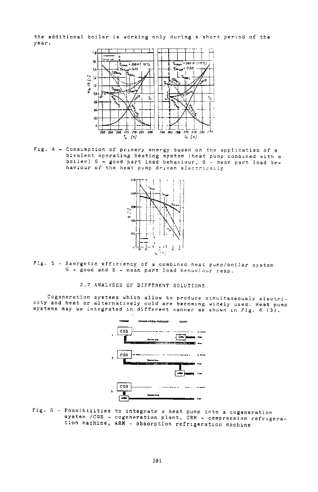the additional boiler is working only during a short period of the year.



Fig. 4 - Consumption of primery energy based on the application of a bivalent operating heating system (heat pump combined with a boiler) G - good part load behaviour, S - mean part load be-<br>haviour of the heat pump driven electrically



Fig. 5 - Exergetic efficiency of a combined heat pump/boiler system G - good and S - mean part load behaviour resp.

### 2.7 ANALYSES OF DIFFERENT SOLUTIONS

Cogeneration systems which allow to produce simultaneously electricity and heat or alternatively cold are becoming widely used. Heat pump systems may be integrated in different manner as shown in Fig. 6 (3).



Fig. 6 - Possibilities to integrate a heat pump into a cogeneration system /CGS - cogeneration plant, CRM - compression refrigeration machine, ARM - absorption refrigeration machine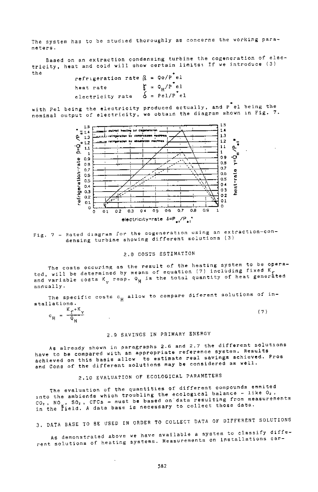The system has to be studied thoroughly as concerns the working paramaters.

Based on an extraction condensing turbine the cogeneration of electricity, heat and cold will show certain limits: If we introduce (3) the

```
refrigeration rate \beta = Q \circ P^*el
                                  \zeta = \varphi_{H}/P^{\dagger}e1heat rate
                                  \check{\acute{\Delta}} = Pel/P<sup>+</sup>el
electricity rate
```
with Pel being the electricity produced actually, and P el being the nominal output of electricity, we obtain the diagram shown in Fig. 7.



Fig. 7 - Rated diagram for the cogeneration using an extraction-condensing turbine showing different solutions (3)

## 2.8 COSTS ESTIMATION

The costs occuring as the result of the heating system to be operated, will be determined by means of equation (7) including fixed  $K_f$ <br>and variable costs  $K_v$  resp.  $Q_H$  is the total quantity of heat generated annually.

The specific costs  $c_{\mu}$  allow to compare diferent solutions of installations.

|                      |   | . .<br><br>-<br>--        |  |  |
|----------------------|---|---------------------------|--|--|
| $\sim$<br>υ.,<br>. . | = | ----<br>141.00<br>w<br>т. |  |  |

# 2.9 SAVINGS IN PRIMARY ENERGY

As already shown in paragraphs 2.6 and 2.7 the different solutions have to be compared with an appropriate reference system. Results achieved on this basis allow to estimate real savings achieved. Pros and Cons of the different solutions may be considered as well.

# 2.10 EVALUATION OF ECOLOGICAL PARAMETERS

The evaluation of the quantities of different compounds emmited into the ambiends which troubling the ecological balance - like O<sub>2</sub>, CO<sub>2</sub>, NO<sub>2</sub>, SO<sub>2</sub>, CFCs - must be based on data resulting from measurements<br>in the field. A data base is necessary to collect those data.

3. DATA BASE TO BE USED IN ORDER TO COLLECT DATA OF DIFFERENT SOLUTIONS

As demonstrated above we have available a system to classify different solutions of heating systems. Measurements on installations car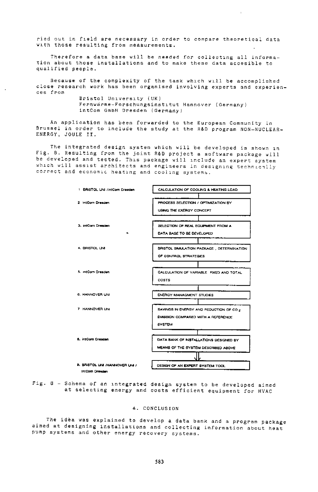ried out in field are necessary in order to compare theoretical data with those resulting from measurements.

Therefore a data base will be needed for collecting all information about those installations and to make these data accesible to qualified people.

Because of the complexity of the task which will be accomplished close research work has been organised involving experts and experiences from

> Bristol University (UK) Fernwarme-Forschungsinstitut Hannover (Germany) intCom GmbH Dresden (Germany)

An application has been forwarded to the European Community in Brussel in order to include the study at the R&D program NON-NUCLEAR-ENERGY, JOULE II.

The integrated design system which will be developed is shown in Fig. 8. Resulting from the joint R&D project a software package will be developed and tested. This package will include an expert system which will assist architects and engineers in designing technically correct and economic heating and cooling systems.



Fig. 8 - Schema of an integrated design system to be developed aimed at selecting energy and costs efficient equipment for HVAC

#### 4. CONCLUSION

The idea was explained to develop a data bank and a program package aimed at designing installations and collecting information about heat pump systems and other energy recovery systems.